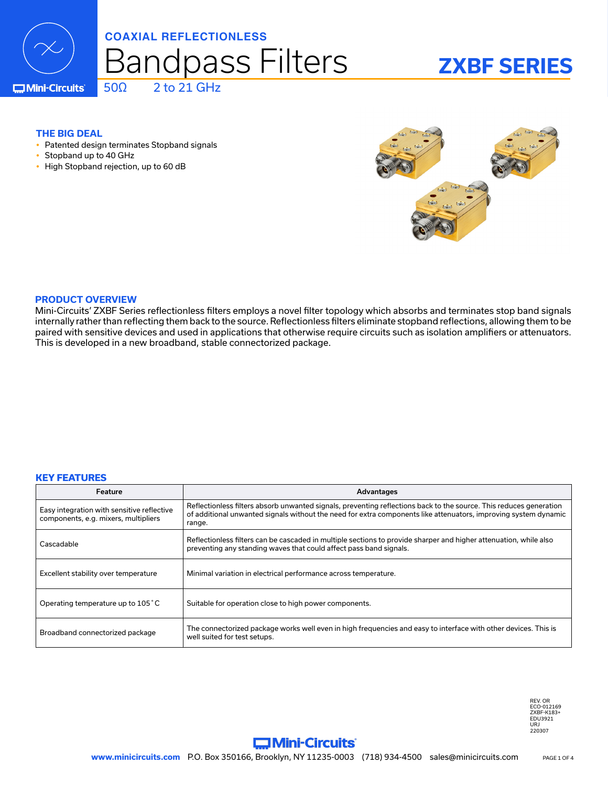

### **COAXIAL REFLECTIONLESS**

50Ω 2 to 21 GHz

# Bandpass Filters

# **ZXBF SERIES**

**C**Mini-Circuits

#### **THE BIG DEAL**

- Patented design terminates Stopband signals
- Stopband up to 40 GHz
- High Stopband rejection, up to 60 dB



#### **PRODUCT OVERVIEW**

Mini-Circuits' ZXBF Series reflectionless filters employs a novel filter topology which absorbs and terminates stop band signals internally rather than reflecting them back to the source. Reflectionless filters eliminate stopband reflections, allowing them to be paired with sensitive devices and used in applications that otherwise require circuits such as isolation amplifiers or attenuators. This is developed in a new broadband, stable connectorized package.

#### **KEY FEATURES**

| Feature                                                                            | Advantages                                                                                                                                                                                                                                      |
|------------------------------------------------------------------------------------|-------------------------------------------------------------------------------------------------------------------------------------------------------------------------------------------------------------------------------------------------|
| Easy integration with sensitive reflective<br>components, e.g. mixers, multipliers | Reflectionless filters absorb unwanted signals, preventing reflections back to the source. This reduces generation<br>of additional unwanted signals without the need for extra components like attenuators, improving system dynamic<br>range. |
| Cascadable                                                                         | Reflectionless filters can be cascaded in multiple sections to provide sharper and higher attenuation, while also<br>preventing any standing waves that could affect pass band signals.                                                         |
| Excellent stability over temperature                                               | Minimal variation in electrical performance across temperature.                                                                                                                                                                                 |
| Operating temperature up to 105 °C                                                 | Suitable for operation close to high power components.                                                                                                                                                                                          |
| Broadband connectorized package                                                    | The connectorized package works well even in high frequencies and easy to interface with other devices. This is<br>well suited for test setups.                                                                                                 |

REV. OR ECO-012169 ZXBF-K183+ EDU3921 URJ 220307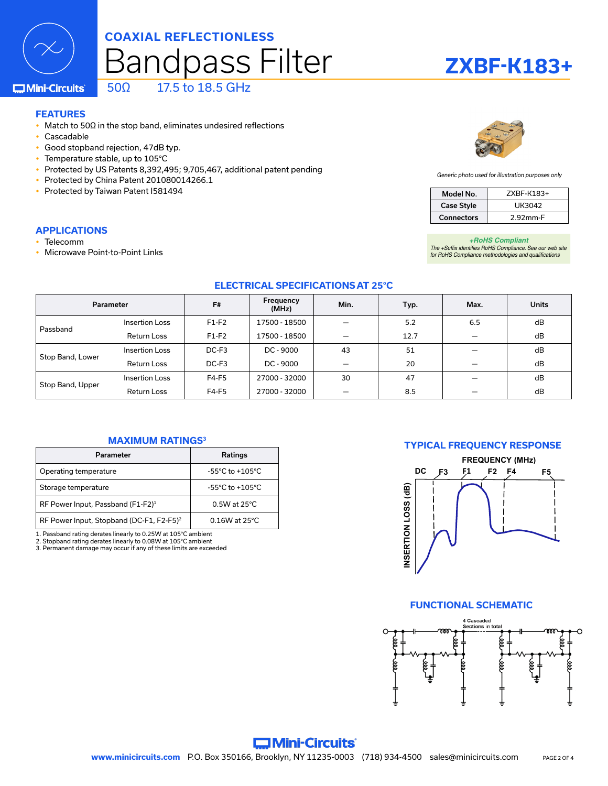

## Bandpass Filter **COAXIAL REFLECTIONLESS** 50Ω 17.5 to 18.5 GHz

#### **C**Mini-Circuits

## **FEATURES**

- Match to 50 $\Omega$  in the stop band, eliminates undesired reflections
- Cascadable
- Good stopband rejection, 47dB typ.
- Temperature stable, up to 105°C
- Protected by US Patents 8,392,495; 9,705,467, additional patent pending
- Protected by China Patent 201080014266.1
- Protected by Taiwan Patent I581494

#### **APPLICATIONS**

- **Telecomm**
- Microwave Point-to-Point Links



**ZXBF-K183+**

*Generic photo used for illustration purposes only*

| Model No.         | ZXBF-K183+ |  |
|-------------------|------------|--|
| <b>Case Style</b> | UK3042     |  |
| <b>Connectors</b> | 2.92mm-F   |  |

#### *+RoHS Compliant*

*The +Suffix identifies RoHS Compliance. See our web site for RoHS Compliance methodologies and qualifications*

#### **ELECTRICAL SPECIFICATIONS AT 25°C**

| Parameter        |                    | F#      | Frequency<br>(MHz) | Min. | Typ. | Max. | <b>Units</b> |
|------------------|--------------------|---------|--------------------|------|------|------|--------------|
| Passband         | Insertion Loss     | $F1-F2$ | 17500 - 18500      |      | 5.2  | 6.5  | dB           |
|                  | <b>Return Loss</b> | $F1-F2$ | 17500 - 18500      |      | 12.7 |      | dB           |
| Stop Band, Lower | Insertion Loss     | $DC-F3$ | $DC - 9000$        | 43   | 51   |      | dB           |
|                  | <b>Return Loss</b> | $DC-F3$ | DC - 9000          |      | 20   |      | dB           |
| Stop Band, Upper | Insertion Loss     | F4-F5   | 27000 - 32000      | 30   | 47   |      | dB           |
|                  | <b>Return Loss</b> | F4-F5   | 27000 - 32000      |      | 8.5  |      | dB           |

#### **MAXIMUM RATINGS3**

| Parameter                                            | Ratings                             |  |  |
|------------------------------------------------------|-------------------------------------|--|--|
| Operating temperature                                | $-55^{\circ}$ C to $+105^{\circ}$ C |  |  |
| Storage temperature                                  | $-55^{\circ}$ C to $+105^{\circ}$ C |  |  |
| RF Power Input, Passband (F1-F2) <sup>1</sup>        | $0.5W$ at 25 $°C$                   |  |  |
| RF Power Input, Stopband (DC-F1, F2-F5) <sup>2</sup> | $0.16W$ at 25°C.                    |  |  |

1. Passband rating derates linearly to 0.25W at 105°C ambient

2. Stopband rating derates linearly to 0.08W at 105°C ambient 3. Permanent damage may occur if any of these limits are exceeded

#### **TYPICAL FREQUENCY RESPONSE**



#### **FUNCTIONAL SCHEMATIC**



#### **C. Mini-Circuits** www.minicircuits.com P.O. Box 350166, Brooklyn, NY 11235-0003 (718) 934-4500 sales@minicircuits.com pAGE2 OF 4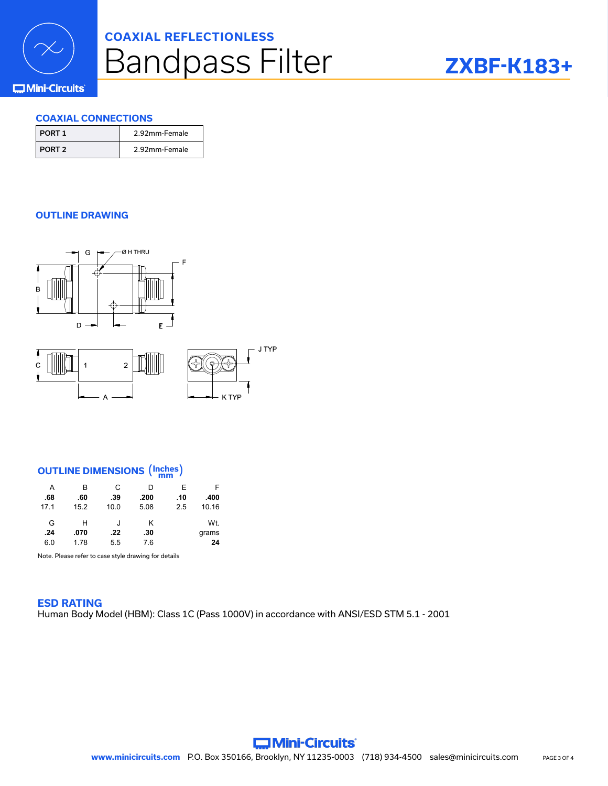

# Bandpass Filter **COAXIAL REFLECTIONLESS**

# **ZXBF-K183+**

#### **COMini-Circuits**

#### **COAXIAL CONNECTIONS**

| PORT 1   | 2.92mm-Female |
|----------|---------------|
| I PORT 2 | 2.92mm-Female |

#### **OUTLINE DRAWING**



### **OUTLINE DIMENSIONS** (**Inches mm** )

 $\Delta$ 

| A    | в    | С    | D    | Е   | F     |
|------|------|------|------|-----|-------|
| .68  | .60  | .39  | .200 | .10 | .400  |
| 17.1 | 15.2 | 10.0 | 5.08 | 2.5 | 10.16 |
| G    | н    | J    | κ    |     | Wt.   |
| .24  | .070 | .22  | .30  |     | grams |
| 6.0  | 1.78 | 5.5  | 7.6  |     | 24    |

Note. Please refer to case style drawing for details

**ESD RATING** Human Body Model (HBM): Class 1C (Pass 1000V) in accordance with ANSI/ESD STM 5.1 - 2001